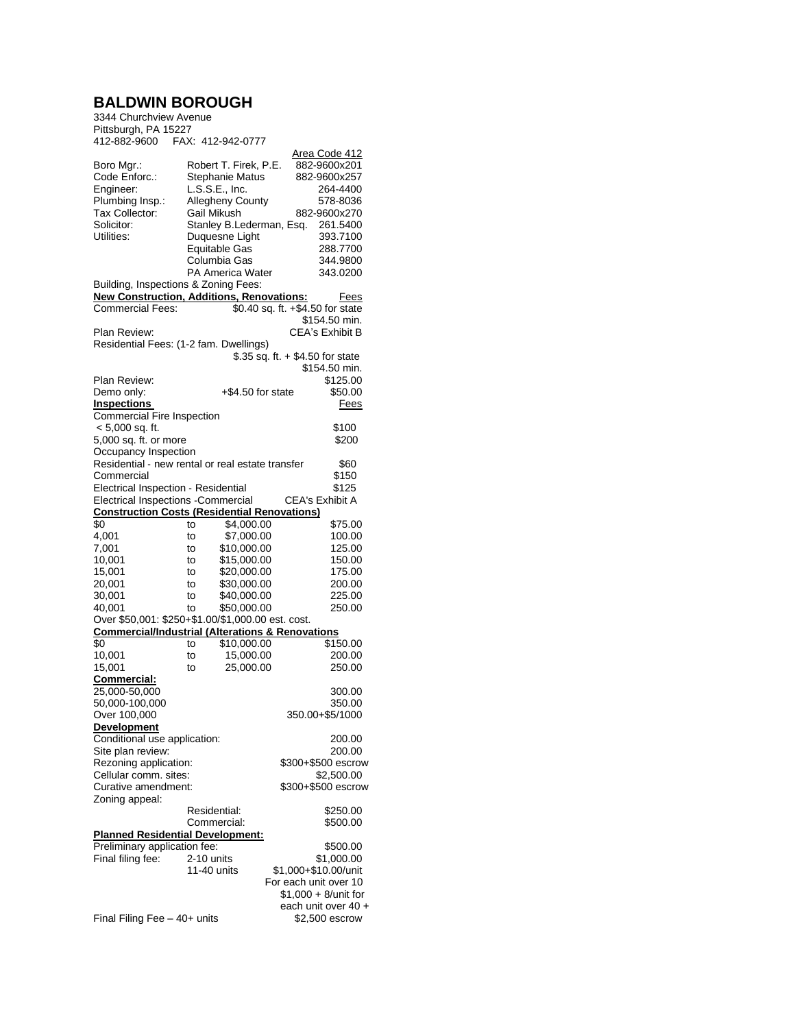## **BALDWIN BOROUGH** 3344 Churchview Avenue

| Pittsburgh, PA 15227<br>412-882-9600                                                                      |    | FAX: 412-942-0777                                                                                                                                  |                                                                                                                       |
|-----------------------------------------------------------------------------------------------------------|----|----------------------------------------------------------------------------------------------------------------------------------------------------|-----------------------------------------------------------------------------------------------------------------------|
| Boro Mgr.:<br>Code Enforc.:<br>Engineer:<br>Plumbing Insp.:<br>Tax Collector:<br>Solicitor:<br>Utilities: |    | Robert T. Firek, P.E.<br>Stephanie Matus<br>L.S.S.E., Inc.<br><b>Allegheny County</b><br>Gail Mikush<br>Stanley B.Lederman, Esq.<br>Duquesne Light | <u> Area Code 412</u><br>882-9600x201<br>882-9600x257<br>264-4400<br>578-8036<br>882-9600x270<br>261.5400<br>393.7100 |
|                                                                                                           |    | <b>Equitable Gas</b><br>Columbia Gas<br><b>PA America Water</b>                                                                                    | 288.7700<br>344.9800<br>343.0200                                                                                      |
| Building, Inspections & Zoning Fees:                                                                      |    |                                                                                                                                                    |                                                                                                                       |
| <b>New Construction, Additions, Renovations:</b>                                                          |    |                                                                                                                                                    | Fees                                                                                                                  |
| <b>Commercial Fees:</b>                                                                                   |    |                                                                                                                                                    | $$0.40$ sq. ft. $+ $4.50$ for state                                                                                   |
|                                                                                                           |    |                                                                                                                                                    | \$154.50 min.                                                                                                         |
| Plan Review:                                                                                              |    |                                                                                                                                                    | CEA's Exhibit B                                                                                                       |
| Residential Fees: (1-2 fam. Dwellings)                                                                    |    |                                                                                                                                                    |                                                                                                                       |
|                                                                                                           |    |                                                                                                                                                    | \$.35 sq. ft. $+$ \$4.50 for state                                                                                    |
| Plan Review:                                                                                              |    |                                                                                                                                                    | \$154.50 min.                                                                                                         |
| Demo only:                                                                                                |    | $+$ \$4.50 for state                                                                                                                               | \$125.00<br>\$50.00                                                                                                   |
| Inspections                                                                                               |    |                                                                                                                                                    | Fees                                                                                                                  |
| Commercial Fire Inspection                                                                                |    |                                                                                                                                                    |                                                                                                                       |
| $< 5,000$ sq. ft.                                                                                         |    |                                                                                                                                                    | \$100                                                                                                                 |
| 5,000 sq. ft. or more                                                                                     |    |                                                                                                                                                    | \$200                                                                                                                 |
| Occupancy Inspection                                                                                      |    |                                                                                                                                                    |                                                                                                                       |
| Residential - new rental or real estate transfer                                                          |    |                                                                                                                                                    | \$60                                                                                                                  |
| Commercial                                                                                                |    |                                                                                                                                                    | \$150                                                                                                                 |
| Electrical Inspection - Residential                                                                       |    |                                                                                                                                                    | \$125                                                                                                                 |
| Electrical Inspections - Commercial                                                                       |    |                                                                                                                                                    | CEA's Exhibit A                                                                                                       |
| <b>Construction Costs (Residential Renovations)</b>                                                       |    |                                                                                                                                                    |                                                                                                                       |
| \$0                                                                                                       | to | \$4,000.00                                                                                                                                         | \$75.00                                                                                                               |
| 4,001                                                                                                     | to | \$7,000.00                                                                                                                                         | 100.00                                                                                                                |
| 7,001                                                                                                     | to | \$10,000.00                                                                                                                                        | 125.00                                                                                                                |
| 10,001                                                                                                    | to | \$15,000.00                                                                                                                                        | 150.00                                                                                                                |
| 15,001                                                                                                    | to | \$20,000.00                                                                                                                                        | 175.00                                                                                                                |
| 20,001                                                                                                    | to | \$30,000.00                                                                                                                                        | 200.00                                                                                                                |
| 30,001                                                                                                    | to | \$40,000.00                                                                                                                                        | 225.00                                                                                                                |
| 40,001                                                                                                    | to | \$50,000.00                                                                                                                                        | 250.00                                                                                                                |
| Over \$50,001: \$250+\$1.00/\$1,000.00 est. cost.                                                         |    |                                                                                                                                                    |                                                                                                                       |
| <b>Commercial/Industrial (Alterations &amp; Renovations</b><br>\$0                                        | to | \$10,000.00                                                                                                                                        | \$150.00                                                                                                              |
| 10,001                                                                                                    | to | 15,000.00                                                                                                                                          | 200.00                                                                                                                |
| 15,001                                                                                                    | to | 25,000.00                                                                                                                                          | 250.00                                                                                                                |
| <u>Commercial:</u>                                                                                        |    |                                                                                                                                                    |                                                                                                                       |
| 25,000-50,000                                                                                             |    |                                                                                                                                                    | 300.00                                                                                                                |
| 50,000-100,000                                                                                            |    |                                                                                                                                                    | 350.00                                                                                                                |
| Over 100,000                                                                                              |    |                                                                                                                                                    | 350.00+\$5/1000                                                                                                       |
| <b>Development</b>                                                                                        |    |                                                                                                                                                    |                                                                                                                       |
| Conditional use application:                                                                              |    |                                                                                                                                                    | 200.00                                                                                                                |
| Site plan review:                                                                                         |    |                                                                                                                                                    | 200.00                                                                                                                |
| Rezoning application:                                                                                     |    |                                                                                                                                                    | \$300+\$500 escrow                                                                                                    |
| Cellular comm. sites:                                                                                     |    |                                                                                                                                                    | \$2,500.00                                                                                                            |
| Curative amendment:                                                                                       |    |                                                                                                                                                    | \$300+\$500 escrow                                                                                                    |
| Zoning appeal:                                                                                            |    |                                                                                                                                                    |                                                                                                                       |
|                                                                                                           |    | Residential:                                                                                                                                       | \$250.00                                                                                                              |
|                                                                                                           |    | Commercial:                                                                                                                                        | \$500.00                                                                                                              |
| <b>Planned Residential Development:</b>                                                                   |    |                                                                                                                                                    |                                                                                                                       |
| Preliminary application fee:                                                                              |    |                                                                                                                                                    | \$500.00                                                                                                              |
| Final filing fee:                                                                                         |    | 2-10 units<br>11-40 units                                                                                                                          | \$1,000.00<br>\$1,000+\$10.00/unit                                                                                    |
|                                                                                                           |    |                                                                                                                                                    | For each unit over 10                                                                                                 |
|                                                                                                           |    |                                                                                                                                                    | \$1,000 + 8/unit for                                                                                                  |
|                                                                                                           |    |                                                                                                                                                    | each unit over 40 +                                                                                                   |
| Final Filing Fee $-40+$ units                                                                             |    |                                                                                                                                                    | \$2,500 escrow                                                                                                        |
|                                                                                                           |    |                                                                                                                                                    |                                                                                                                       |